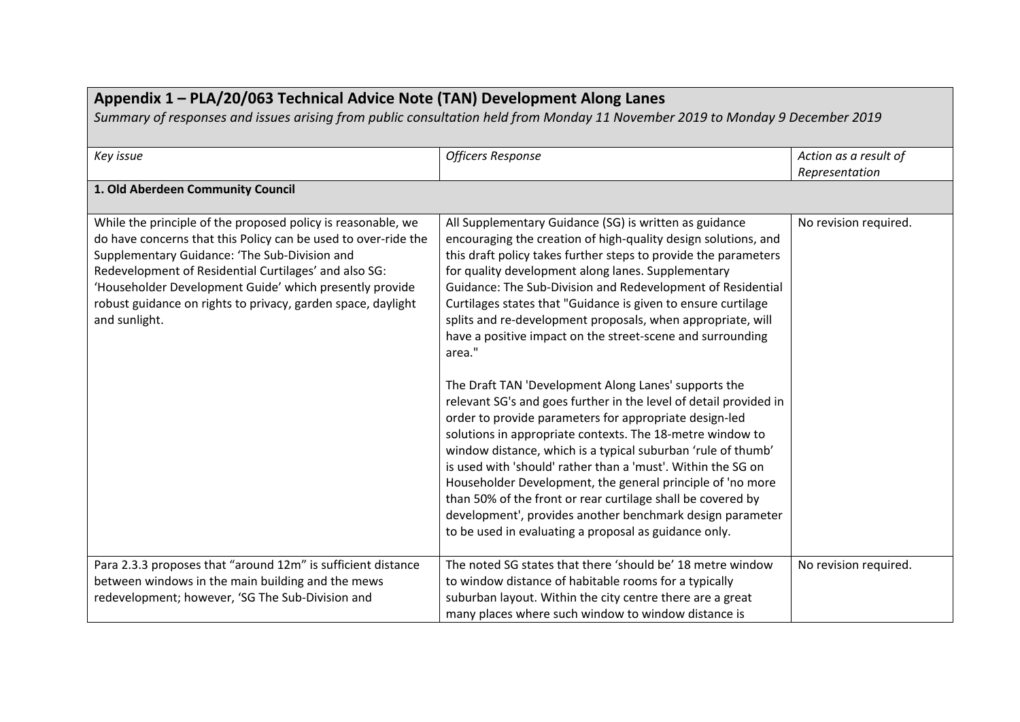| Appendix 1 - PLA/20/063 Technical Advice Note (TAN) Development Along Lanes<br>Summary of responses and issues arising from public consultation held from Monday 11 November 2019 to Monday 9 December 2019                                                                                                                                                                          |                                                                                                                                                                                                                                                                                                                                                                                                                                                                                                                                                                                                                                                                                                                                                                                                                                                                                                                                                                                                                                                                                                                                                                 |                                         |
|--------------------------------------------------------------------------------------------------------------------------------------------------------------------------------------------------------------------------------------------------------------------------------------------------------------------------------------------------------------------------------------|-----------------------------------------------------------------------------------------------------------------------------------------------------------------------------------------------------------------------------------------------------------------------------------------------------------------------------------------------------------------------------------------------------------------------------------------------------------------------------------------------------------------------------------------------------------------------------------------------------------------------------------------------------------------------------------------------------------------------------------------------------------------------------------------------------------------------------------------------------------------------------------------------------------------------------------------------------------------------------------------------------------------------------------------------------------------------------------------------------------------------------------------------------------------|-----------------------------------------|
| Key issue                                                                                                                                                                                                                                                                                                                                                                            | <b>Officers Response</b>                                                                                                                                                                                                                                                                                                                                                                                                                                                                                                                                                                                                                                                                                                                                                                                                                                                                                                                                                                                                                                                                                                                                        | Action as a result of<br>Representation |
| 1. Old Aberdeen Community Council                                                                                                                                                                                                                                                                                                                                                    |                                                                                                                                                                                                                                                                                                                                                                                                                                                                                                                                                                                                                                                                                                                                                                                                                                                                                                                                                                                                                                                                                                                                                                 |                                         |
| While the principle of the proposed policy is reasonable, we<br>do have concerns that this Policy can be used to over-ride the<br>Supplementary Guidance: 'The Sub-Division and<br>Redevelopment of Residential Curtilages' and also SG:<br>'Householder Development Guide' which presently provide<br>robust guidance on rights to privacy, garden space, daylight<br>and sunlight. | All Supplementary Guidance (SG) is written as guidance<br>encouraging the creation of high-quality design solutions, and<br>this draft policy takes further steps to provide the parameters<br>for quality development along lanes. Supplementary<br>Guidance: The Sub-Division and Redevelopment of Residential<br>Curtilages states that "Guidance is given to ensure curtilage<br>splits and re-development proposals, when appropriate, will<br>have a positive impact on the street-scene and surrounding<br>area."<br>The Draft TAN 'Development Along Lanes' supports the<br>relevant SG's and goes further in the level of detail provided in<br>order to provide parameters for appropriate design-led<br>solutions in appropriate contexts. The 18-metre window to<br>window distance, which is a typical suburban 'rule of thumb'<br>is used with 'should' rather than a 'must'. Within the SG on<br>Householder Development, the general principle of 'no more<br>than 50% of the front or rear curtilage shall be covered by<br>development', provides another benchmark design parameter<br>to be used in evaluating a proposal as guidance only. | No revision required.                   |
| Para 2.3.3 proposes that "around 12m" is sufficient distance<br>between windows in the main building and the mews<br>redevelopment; however, 'SG The Sub-Division and                                                                                                                                                                                                                | The noted SG states that there 'should be' 18 metre window<br>to window distance of habitable rooms for a typically<br>suburban layout. Within the city centre there are a great<br>many places where such window to window distance is                                                                                                                                                                                                                                                                                                                                                                                                                                                                                                                                                                                                                                                                                                                                                                                                                                                                                                                         | No revision required.                   |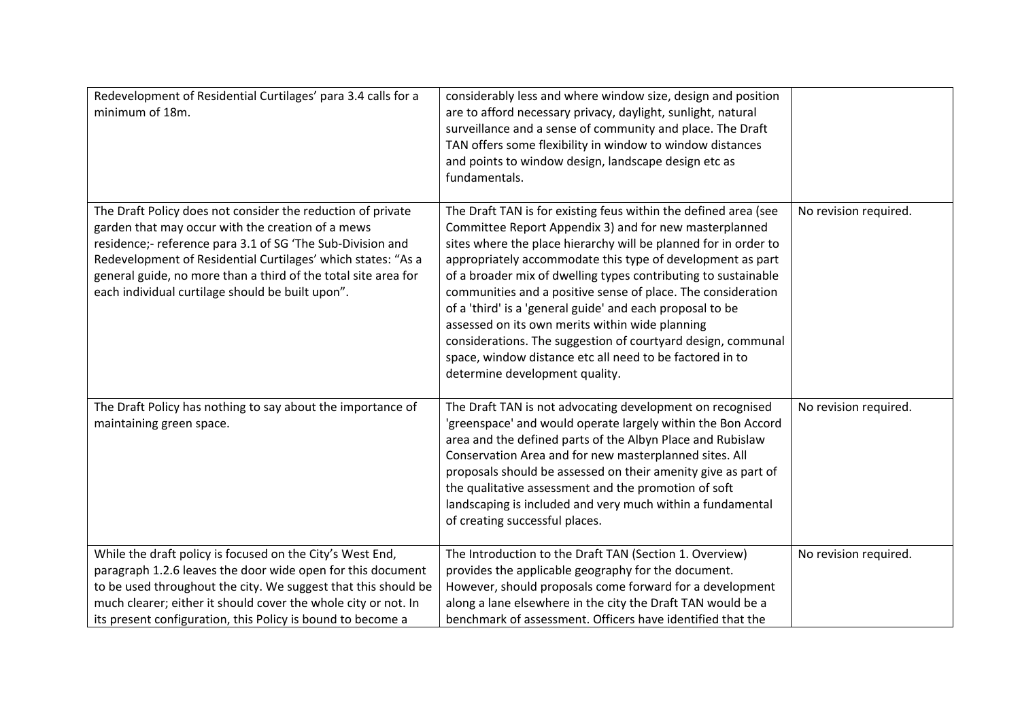| Redevelopment of Residential Curtilages' para 3.4 calls for a<br>minimum of 18m.                                                                                                                                                                                                                                                                                     | considerably less and where window size, design and position<br>are to afford necessary privacy, daylight, sunlight, natural<br>surveillance and a sense of community and place. The Draft<br>TAN offers some flexibility in window to window distances<br>and points to window design, landscape design etc as<br>fundamentals.                                                                                                                                                                                                                                                                                                                                           |                       |
|----------------------------------------------------------------------------------------------------------------------------------------------------------------------------------------------------------------------------------------------------------------------------------------------------------------------------------------------------------------------|----------------------------------------------------------------------------------------------------------------------------------------------------------------------------------------------------------------------------------------------------------------------------------------------------------------------------------------------------------------------------------------------------------------------------------------------------------------------------------------------------------------------------------------------------------------------------------------------------------------------------------------------------------------------------|-----------------------|
| The Draft Policy does not consider the reduction of private<br>garden that may occur with the creation of a mews<br>residence;- reference para 3.1 of SG 'The Sub-Division and<br>Redevelopment of Residential Curtilages' which states: "As a<br>general guide, no more than a third of the total site area for<br>each individual curtilage should be built upon". | The Draft TAN is for existing feus within the defined area (see<br>Committee Report Appendix 3) and for new masterplanned<br>sites where the place hierarchy will be planned for in order to<br>appropriately accommodate this type of development as part<br>of a broader mix of dwelling types contributing to sustainable<br>communities and a positive sense of place. The consideration<br>of a 'third' is a 'general guide' and each proposal to be<br>assessed on its own merits within wide planning<br>considerations. The suggestion of courtyard design, communal<br>space, window distance etc all need to be factored in to<br>determine development quality. | No revision required. |
| The Draft Policy has nothing to say about the importance of<br>maintaining green space.                                                                                                                                                                                                                                                                              | The Draft TAN is not advocating development on recognised<br>'greenspace' and would operate largely within the Bon Accord<br>area and the defined parts of the Albyn Place and Rubislaw<br>Conservation Area and for new masterplanned sites. All<br>proposals should be assessed on their amenity give as part of<br>the qualitative assessment and the promotion of soft<br>landscaping is included and very much within a fundamental<br>of creating successful places.                                                                                                                                                                                                 | No revision required. |
| While the draft policy is focused on the City's West End,<br>paragraph 1.2.6 leaves the door wide open for this document<br>to be used throughout the city. We suggest that this should be<br>much clearer; either it should cover the whole city or not. In<br>its present configuration, this Policy is bound to become a                                          | The Introduction to the Draft TAN (Section 1. Overview)<br>provides the applicable geography for the document.<br>However, should proposals come forward for a development<br>along a lane elsewhere in the city the Draft TAN would be a<br>benchmark of assessment. Officers have identified that the                                                                                                                                                                                                                                                                                                                                                                    | No revision required. |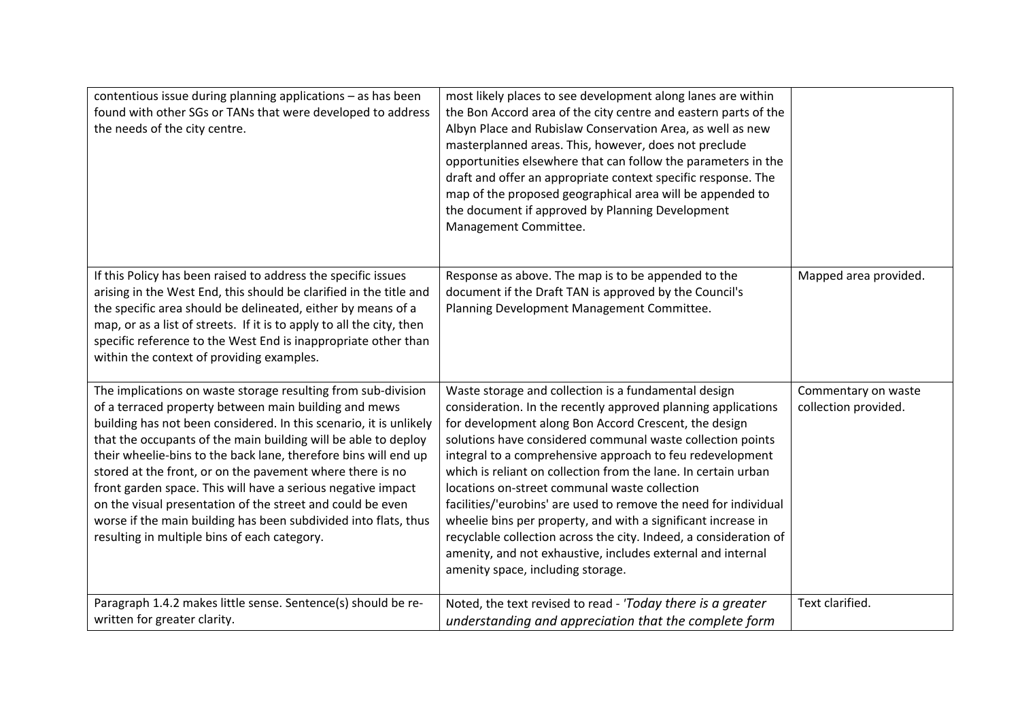| contentious issue during planning applications - as has been<br>found with other SGs or TANs that were developed to address<br>the needs of the city centre.                                                                                                                                                                                                                                                                                                                                                                                                                                                                                    | most likely places to see development along lanes are within<br>the Bon Accord area of the city centre and eastern parts of the<br>Albyn Place and Rubislaw Conservation Area, as well as new<br>masterplanned areas. This, however, does not preclude<br>opportunities elsewhere that can follow the parameters in the<br>draft and offer an appropriate context specific response. The<br>map of the proposed geographical area will be appended to<br>the document if approved by Planning Development<br>Management Committee.                                                                                                                                                                                                         |                                             |
|-------------------------------------------------------------------------------------------------------------------------------------------------------------------------------------------------------------------------------------------------------------------------------------------------------------------------------------------------------------------------------------------------------------------------------------------------------------------------------------------------------------------------------------------------------------------------------------------------------------------------------------------------|--------------------------------------------------------------------------------------------------------------------------------------------------------------------------------------------------------------------------------------------------------------------------------------------------------------------------------------------------------------------------------------------------------------------------------------------------------------------------------------------------------------------------------------------------------------------------------------------------------------------------------------------------------------------------------------------------------------------------------------------|---------------------------------------------|
| If this Policy has been raised to address the specific issues<br>arising in the West End, this should be clarified in the title and<br>the specific area should be delineated, either by means of a<br>map, or as a list of streets. If it is to apply to all the city, then<br>specific reference to the West End is inappropriate other than<br>within the context of providing examples.                                                                                                                                                                                                                                                     | Response as above. The map is to be appended to the<br>document if the Draft TAN is approved by the Council's<br>Planning Development Management Committee.                                                                                                                                                                                                                                                                                                                                                                                                                                                                                                                                                                                | Mapped area provided.                       |
| The implications on waste storage resulting from sub-division<br>of a terraced property between main building and mews<br>building has not been considered. In this scenario, it is unlikely<br>that the occupants of the main building will be able to deploy<br>their wheelie-bins to the back lane, therefore bins will end up<br>stored at the front, or on the pavement where there is no<br>front garden space. This will have a serious negative impact<br>on the visual presentation of the street and could be even<br>worse if the main building has been subdivided into flats, thus<br>resulting in multiple bins of each category. | Waste storage and collection is a fundamental design<br>consideration. In the recently approved planning applications<br>for development along Bon Accord Crescent, the design<br>solutions have considered communal waste collection points<br>integral to a comprehensive approach to feu redevelopment<br>which is reliant on collection from the lane. In certain urban<br>locations on-street communal waste collection<br>facilities/'eurobins' are used to remove the need for individual<br>wheelie bins per property, and with a significant increase in<br>recyclable collection across the city. Indeed, a consideration of<br>amenity, and not exhaustive, includes external and internal<br>amenity space, including storage. | Commentary on waste<br>collection provided. |
| Paragraph 1.4.2 makes little sense. Sentence(s) should be re-<br>written for greater clarity.                                                                                                                                                                                                                                                                                                                                                                                                                                                                                                                                                   | Noted, the text revised to read - 'Today there is a greater<br>understanding and appreciation that the complete form                                                                                                                                                                                                                                                                                                                                                                                                                                                                                                                                                                                                                       | Text clarified.                             |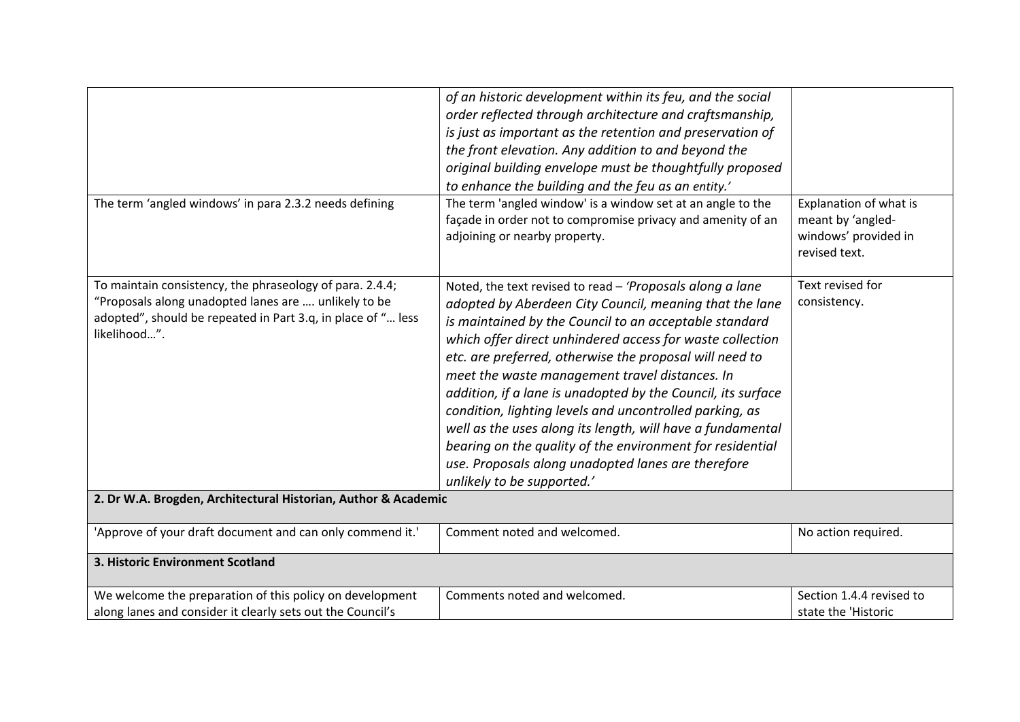|                                                                                                                                                                                                  | of an historic development within its feu, and the social<br>order reflected through architecture and craftsmanship,<br>is just as important as the retention and preservation of<br>the front elevation. Any addition to and beyond the<br>original building envelope must be thoughtfully proposed<br>to enhance the building and the feu as an entity.'                                                                                                                                                                                                                                                                                                                                         |                                                                                      |
|--------------------------------------------------------------------------------------------------------------------------------------------------------------------------------------------------|----------------------------------------------------------------------------------------------------------------------------------------------------------------------------------------------------------------------------------------------------------------------------------------------------------------------------------------------------------------------------------------------------------------------------------------------------------------------------------------------------------------------------------------------------------------------------------------------------------------------------------------------------------------------------------------------------|--------------------------------------------------------------------------------------|
| The term 'angled windows' in para 2.3.2 needs defining                                                                                                                                           | The term 'angled window' is a window set at an angle to the<br>façade in order not to compromise privacy and amenity of an<br>adjoining or nearby property.                                                                                                                                                                                                                                                                                                                                                                                                                                                                                                                                        | Explanation of what is<br>meant by 'angled-<br>windows' provided in<br>revised text. |
| To maintain consistency, the phraseology of para. 2.4.4;<br>"Proposals along unadopted lanes are  unlikely to be<br>adopted", should be repeated in Part 3.q, in place of " less<br>likelihood". | Noted, the text revised to read - 'Proposals along a lane<br>adopted by Aberdeen City Council, meaning that the lane<br>is maintained by the Council to an acceptable standard<br>which offer direct unhindered access for waste collection<br>etc. are preferred, otherwise the proposal will need to<br>meet the waste management travel distances. In<br>addition, if a lane is unadopted by the Council, its surface<br>condition, lighting levels and uncontrolled parking, as<br>well as the uses along its length, will have a fundamental<br>bearing on the quality of the environment for residential<br>use. Proposals along unadopted lanes are therefore<br>unlikely to be supported.' | Text revised for<br>consistency.                                                     |
| 2. Dr W.A. Brogden, Architectural Historian, Author & Academic                                                                                                                                   |                                                                                                                                                                                                                                                                                                                                                                                                                                                                                                                                                                                                                                                                                                    |                                                                                      |
| 'Approve of your draft document and can only commend it.'                                                                                                                                        | Comment noted and welcomed.                                                                                                                                                                                                                                                                                                                                                                                                                                                                                                                                                                                                                                                                        | No action required.                                                                  |
| 3. Historic Environment Scotland                                                                                                                                                                 |                                                                                                                                                                                                                                                                                                                                                                                                                                                                                                                                                                                                                                                                                                    |                                                                                      |
| We welcome the preparation of this policy on development<br>along lanes and consider it clearly sets out the Council's                                                                           | Comments noted and welcomed.                                                                                                                                                                                                                                                                                                                                                                                                                                                                                                                                                                                                                                                                       | Section 1.4.4 revised to<br>state the 'Historic                                      |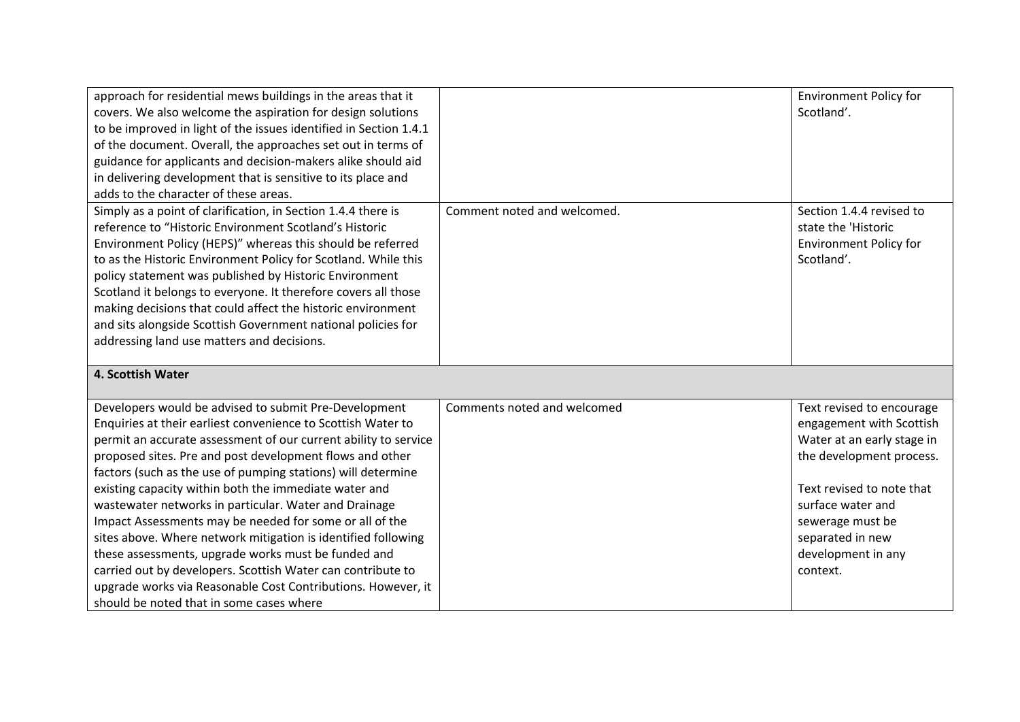| approach for residential mews buildings in the areas that it<br>covers. We also welcome the aspiration for design solutions<br>to be improved in light of the issues identified in Section 1.4.1<br>of the document. Overall, the approaches set out in terms of<br>guidance for applicants and decision-makers alike should aid<br>in delivering development that is sensitive to its place and<br>adds to the character of these areas.                                                                                                                                                                                                                                                                                                                                                            |                             | <b>Environment Policy for</b><br>Scotland'.                                                                                                                                                                                                 |
|------------------------------------------------------------------------------------------------------------------------------------------------------------------------------------------------------------------------------------------------------------------------------------------------------------------------------------------------------------------------------------------------------------------------------------------------------------------------------------------------------------------------------------------------------------------------------------------------------------------------------------------------------------------------------------------------------------------------------------------------------------------------------------------------------|-----------------------------|---------------------------------------------------------------------------------------------------------------------------------------------------------------------------------------------------------------------------------------------|
| Simply as a point of clarification, in Section 1.4.4 there is<br>reference to "Historic Environment Scotland's Historic<br>Environment Policy (HEPS)" whereas this should be referred<br>to as the Historic Environment Policy for Scotland. While this<br>policy statement was published by Historic Environment<br>Scotland it belongs to everyone. It therefore covers all those<br>making decisions that could affect the historic environment<br>and sits alongside Scottish Government national policies for<br>addressing land use matters and decisions.                                                                                                                                                                                                                                     | Comment noted and welcomed. | Section 1.4.4 revised to<br>state the 'Historic<br><b>Environment Policy for</b><br>Scotland'.                                                                                                                                              |
| 4. Scottish Water                                                                                                                                                                                                                                                                                                                                                                                                                                                                                                                                                                                                                                                                                                                                                                                    |                             |                                                                                                                                                                                                                                             |
| Developers would be advised to submit Pre-Development<br>Enquiries at their earliest convenience to Scottish Water to<br>permit an accurate assessment of our current ability to service<br>proposed sites. Pre and post development flows and other<br>factors (such as the use of pumping stations) will determine<br>existing capacity within both the immediate water and<br>wastewater networks in particular. Water and Drainage<br>Impact Assessments may be needed for some or all of the<br>sites above. Where network mitigation is identified following<br>these assessments, upgrade works must be funded and<br>carried out by developers. Scottish Water can contribute to<br>upgrade works via Reasonable Cost Contributions. However, it<br>should be noted that in some cases where | Comments noted and welcomed | Text revised to encourage<br>engagement with Scottish<br>Water at an early stage in<br>the development process.<br>Text revised to note that<br>surface water and<br>sewerage must be<br>separated in new<br>development in any<br>context. |